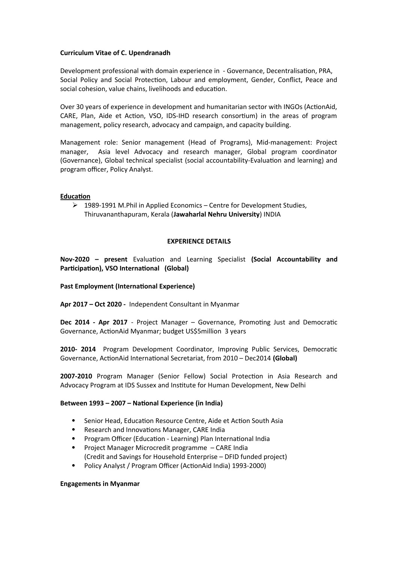## **Curriculum Vitae of C. Upendranadh**

Development professional with domain experience in - Governance, Decentralisation, PRA, Social Policy and Social Protection, Labour and employment, Gender, Conflict, Peace and social cohesion, value chains, livelihoods and education.

Over 30 years of experience in development and humanitarian sector with INGOs (ActionAid, CARE, Plan, Aide et Action, VSO, IDS-IHD research consortium) in the areas of program management, policy research, advocacy and campaign, and capacity building.

Management role: Senior management (Head of Programs), Mid-management: Project manager, Asia level Advocacy and research manager, Global program coordinator (Governance), Global technical specialist (social accountability-Evaluation and learning) and program officer, Policy Analyst.

# **Education**

 1989-1991 M.Phil in Applied Economics – Centre for Development Studies, Thiruvananthapuram, Kerala (**Jawaharlal Nehru University**) INDIA

# **EXPERIENCE DETAILS**

**Nov-2020 – present** Evaluation and Learning Specialist **(Social Accountability and Participation), VSO International (Global)**

## **Past Employment (International Experience)**

**Apr 2017 – Oct 2020 -** Independent Consultant in Myanmar

**Dec 2014 - Apr 2017** - Project Manager – Governance, Promoting Just and Democratic Governance, ActionAid Myanmar; budget US\$5million 3 years

**2010- 2014** Program Development Coordinator, Improving Public Services, Democratic Governance, ActionAid International Secretariat, from 2010 – Dec2014 **(Global)**

**2007-2010** Program Manager (Senior Fellow) Social Protection in Asia Research and Advocacy Program at IDS Sussex and Institute for Human Development, New Delhi

## **Between 1993 – 2007 – National Experience (in India)**

- Senior Head, Education Resource Centre, Aide et Action South Asia
- Research and Innovations Manager, CARE India
- Program Officer (Education Learning) Plan International India
- Project Manager Microcredit programme CARE India (Credit and Savings for Household Enterprise – DFID funded project)
- Policy Analyst / Program Officer (ActionAid India) 1993-2000)

## **Engagements in Myanmar**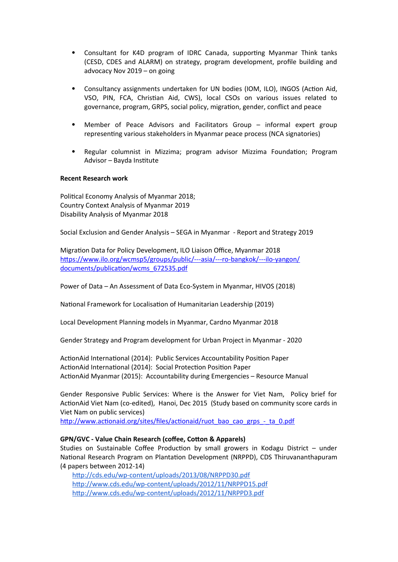- Consultant for K4D program of IDRC Canada, supporting Myanmar Think tanks (CESD, CDES and ALARM) on strategy, program development, profile building and advocacy Nov 2019 – on going
- Consultancy assignments undertaken for UN bodies (IOM, ILO), INGOS (Action Aid, VSO, PIN, FCA, Christian Aid, CWS), local CSOs on various issues related to governance, program, GRPS, social policy, migration, gender, conflict and peace
- Member of Peace Advisors and Facilitators Group informal expert group representing various stakeholders in Myanmar peace process (NCA signatories)
- Regular columnist in Mizzima; program advisor Mizzima Foundation; Program Advisor – Bayda Institute

## **Recent Research work**

Political Economy Analysis of Myanmar 2018; Country Context Analysis of Myanmar 2019 Disability Analysis of Myanmar 2018

Social Exclusion and Gender Analysis – SEGA in Myanmar - Report and Strategy 2019

Migration Data for Policy Development, ILO Liaison Office, Myanmar 2018 [https://www.ilo.org/wcmsp5/groups/public/---asia/---ro-bangkok/---ilo-yangon/](https://www.ilo.org/wcmsp5/groups/public/---asia/---ro-bangkok/---ilo-yangon/documents/publication/wcms_672535.pdf) [documents/publication/wcms\\_672535.pdf](https://www.ilo.org/wcmsp5/groups/public/---asia/---ro-bangkok/---ilo-yangon/documents/publication/wcms_672535.pdf)

Power of Data – An Assessment of Data Eco-System in Myanmar, HIVOS (2018)

National Framework for Localisation of Humanitarian Leadership (2019)

Local Development Planning models in Myanmar, Cardno Myanmar 2018

Gender Strategy and Program development for Urban Project in Myanmar - 2020

ActionAid International (2014): Public Services Accountability Position Paper ActionAid International (2014): Social Protection Position Paper ActionAid Myanmar (2015): Accountability during Emergencies – Resource Manual

Gender Responsive Public Services: Where is the Answer for Viet Nam, Policy brief for ActionAid Viet Nam (co-edited), Hanoi, Dec 2015 (Study based on community score cards in Viet Nam on public services)

[http://www.actionaid.org/sites/files/actionaid/ruot\\_bao\\_cao\\_grps\\_-\\_ta\\_0.pdf](http://www.actionaid.org/sites/files/actionaid/ruot_bao_cao_grps_-_ta_0.pdf)

## **GPN/GVC - Value Chain Research (coffee, Cotton & Apparels)**

Studies on Sustainable Coffee Production by small growers in Kodagu District – under National Research Program on Plantation Development (NRPPD), CDS Thiruvananthapuram (4 papers between 2012-14)

<http://cds.edu/wp-content/uploads/2013/08/NRPPD30.pdf> <http://www.cds.edu/wp-content/uploads/2012/11/NRPPD15.pdf> <http://www.cds.edu/wp-content/uploads/2012/11/NRPPD3.pdf>